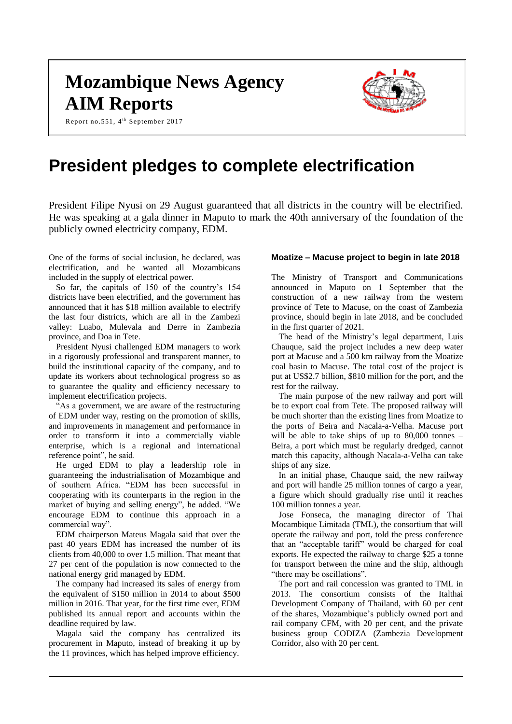# **Mozambique News Agency AIM Reports**

Report no.551, 4<sup>th</sup> September 2017



# **President pledges to complete electrification**

President Filipe Nyusi on 29 August guaranteed that all districts in the country will be electrified. He was speaking at a gala dinner in Maputo to mark the 40th anniversary of the foundation of the publicly owned electricity company, EDM.

One of the forms of social inclusion, he declared, was electrification, and he wanted all Mozambicans included in the supply of electrical power.

So far, the capitals of 150 of the country's 154 districts have been electrified, and the government has announced that it has \$18 million available to electrify the last four districts, which are all in the Zambezi valley: Luabo, Mulevala and Derre in Zambezia province, and Doa in Tete.

President Nyusi challenged EDM managers to work in a rigorously professional and transparent manner, to build the institutional capacity of the company, and to update its workers about technological progress so as to guarantee the quality and efficiency necessary to implement electrification projects.

"As a government, we are aware of the restructuring of EDM under way, resting on the promotion of skills, and improvements in management and performance in order to transform it into a commercially viable enterprise, which is a regional and international reference point", he said.

He urged EDM to play a leadership role in guaranteeing the industrialisation of Mozambique and of southern Africa. "EDM has been successful in cooperating with its counterparts in the region in the market of buying and selling energy", he added. "We encourage EDM to continue this approach in a commercial way".

EDM chairperson Mateus Magala said that over the past 40 years EDM has increased the number of its clients from 40,000 to over 1.5 million. That meant that 27 per cent of the population is now connected to the national energy grid managed by EDM.

The company had increased its sales of energy from the equivalent of \$150 million in 2014 to about \$500 million in 2016. That year, for the first time ever, EDM published its annual report and accounts within the deadline required by law.

Magala said the company has centralized its procurement in Maputo, instead of breaking it up by the 11 provinces, which has helped improve efficiency.

# **Moatize – Macuse project to begin in late 2018**

The Ministry of Transport and Communications announced in Maputo on 1 September that the construction of a new railway from the western province of Tete to Macuse, on the coast of Zambezia province, should begin in late 2018, and be concluded in the first quarter of 2021.

The head of the Ministry's legal department, Luis Chauque, said the project includes a new deep water port at Macuse and a 500 km railway from the Moatize coal basin to Macuse. The total cost of the project is put at US\$2.7 billion, \$810 million for the port, and the rest for the railway.

The main purpose of the new railway and port will be to export coal from Tete. The proposed railway will be much shorter than the existing lines from Moatize to the ports of Beira and Nacala-a-Velha. Macuse port will be able to take ships of up to 80,000 tonnes – Beira, a port which must be regularly dredged, cannot match this capacity, although Nacala-a-Velha can take ships of any size.

In an initial phase, Chauque said, the new railway and port will handle 25 million tonnes of cargo a year, a figure which should gradually rise until it reaches 100 million tonnes a year.

Jose Fonseca, the managing director of Thai Mocambique Limitada (TML), the consortium that will operate the railway and port, told the press conference that an "acceptable tariff" would be charged for coal exports. He expected the railway to charge \$25 a tonne for transport between the mine and the ship, although "there may be oscillations".

The port and rail concession was granted to TML in 2013. The consortium consists of the Italthai Development Company of Thailand, with 60 per cent of the shares, Mozambique's publicly owned port and rail company CFM, with 20 per cent, and the private business group CODIZA (Zambezia Development Corridor, also with 20 per cent.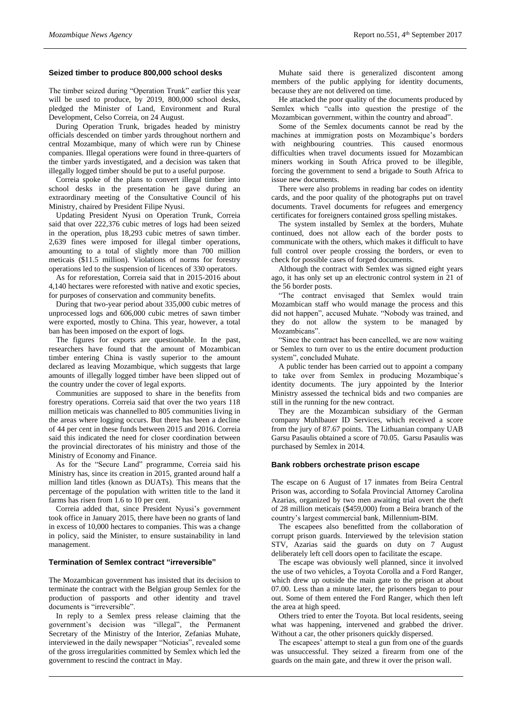# **Seized timber to produce 800,000 school desks**

The timber seized during "Operation Trunk" earlier this year will be used to produce, by 2019, 800,000 school desks, pledged the Minister of Land, Environment and Rural Development, Celso Correia, on 24 August.

During Operation Trunk, brigades headed by ministry officials descended on timber yards throughout northern and central Mozambique, many of which were run by Chinese companies. Illegal operations were found in three-quarters of the timber yards investigated, and a decision was taken that illegally logged timber should be put to a useful purpose.

Correia spoke of the plans to convert illegal timber into school desks in the presentation he gave during an extraordinary meeting of the Consultative Council of his Ministry, chaired by President Filipe Nyusi.

Updating President Nyusi on Operation Trunk, Correia said that over 222,376 cubic metres of logs had been seized in the operation, plus 18,293 cubic metres of sawn timber. 2,639 fines were imposed for illegal timber operations, amounting to a total of slightly more than 700 million meticais (\$11.5 million). Violations of norms for forestry operations led to the suspension of licences of 330 operators.

As for reforestation, Correia said that in 2015-2016 about 4,140 hectares were reforested with native and exotic species, for purposes of conservation and community benefits.

During that two-year period about 335,000 cubic metres of unprocessed logs and 606,000 cubic metres of sawn timber were exported, mostly to China. This year, however, a total ban has been imposed on the export of logs.

The figures for exports are questionable. In the past, researchers have found that the amount of Mozambican timber entering China is vastly superior to the amount declared as leaving Mozambique, which suggests that large amounts of illegally logged timber have been slipped out of the country under the cover of legal exports.

Communities are supposed to share in the benefits from forestry operations. Correia said that over the two years 118 million meticais was channelled to 805 communities living in the areas where logging occurs. But there has been a decline of 44 per cent in these funds between 2015 and 2016. Correia said this indicated the need for closer coordination between the provincial directorates of his ministry and those of the Ministry of Economy and Finance.

As for the "Secure Land" programme, Correia said his Ministry has, since its creation in 2015, granted around half a million land titles (known as DUATs). This means that the percentage of the population with written title to the land it farms has risen from 1.6 to 10 per cent.

Correia added that, since President Nyusi's government took office in January 2015, there have been no grants of land in excess of 10,000 hectares to companies. This was a change in policy, said the Minister, to ensure sustainability in land management.

#### **Termination of Semlex contract "irreversible"**

The Mozambican government has insisted that its decision to terminate the contract with the Belgian group Semlex for the production of passports and other identity and travel documents is "irreversible".

In reply to a Semlex press release claiming that the government's decision was "illegal", the Permanent Secretary of the Ministry of the Interior, Zefanias Muhate, interviewed in the daily newspaper "Noticias", revealed some of the gross irregularities committed by Semlex which led the government to rescind the contract in May.

Muhate said there is generalized discontent among members of the public applying for identity documents, because they are not delivered on time.

He attacked the poor quality of the documents produced by Semlex which "calls into question the prestige of the Mozambican government, within the country and abroad".

Some of the Semlex documents cannot be read by the machines at immigration posts on Mozambique's borders with neighbouring countries. This caused enormous difficulties when travel documents issued for Mozambican miners working in South Africa proved to be illegible, forcing the government to send a brigade to South Africa to issue new documents.

There were also problems in reading bar codes on identity cards, and the poor quality of the photographs put on travel documents. Travel documents for refugees and emergency certificates for foreigners contained gross spelling mistakes.

The system installed by Semlex at the borders, Muhate continued, does not allow each of the border posts to communicate with the others, which makes it difficult to have full control over people crossing the borders, or even to check for possible cases of forged documents.

Although the contract with Semlex was signed eight years ago, it has only set up an electronic control system in 21 of the 56 border posts.

"The contract envisaged that Semlex would train Mozambican staff who would manage the process and this did not happen", accused Muhate. "Nobody was trained, and they do not allow the system to be managed by Mozambicans".

"Since the contract has been cancelled, we are now waiting or Semlex to turn over to us the entire document production system", concluded Muhate.

A public tender has been carried out to appoint a company to take over from Semlex in producing Mozambique's identity documents. The jury appointed by the Interior Ministry assessed the technical bids and two companies are still in the running for the new contract.

They are the Mozambican subsidiary of the German company Muhlbauer ID Services, which received a score from the jury of 87.67 points. The Lithuanian company UAB Garsu Pasaulis obtained a score of 70.05. Garsu Pasaulis was purchased by Semlex in 2014.

#### **Bank robbers orchestrate prison escape**

The escape on 6 August of 17 inmates from Beira Central Prison was, according to Sofala Provincial Attorney Carolina Azarias, organized by two men awaiting trial overt the theft of 28 million meticais (\$459,000) from a Beira branch of the country's largest commercial bank, Millennium-BIM.

The escapees also benefitted from the collaboration of corrupt prison guards. Interviewed by the television station STV, Azarias said the guards on duty on 7 August deliberately left cell doors open to facilitate the escape.

The escape was obviously well planned, since it involved the use of two vehicles, a Toyota Corolla and a Ford Ranger, which drew up outside the main gate to the prison at about 07.00. Less than a minute later, the prisoners began to pour out. Some of them entered the Ford Ranger, which then left the area at high speed.

Others tried to enter the Toyota. But local residents, seeing what was happening, intervened and grabbed the driver. Without a car, the other prisoners quickly dispersed.

The escapees' attempt to steal a gun from one of the guards was unsuccessful. They seized a firearm from one of the guards on the main gate, and threw it over the prison wall.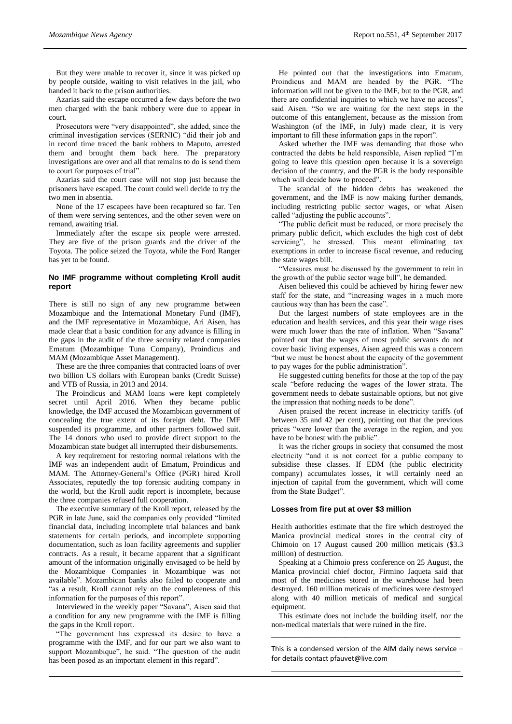But they were unable to recover it, since it was picked up by people outside, waiting to visit relatives in the jail, who handed it back to the prison authorities.

Azarias said the escape occurred a few days before the two men charged with the bank robbery were due to appear in court.

Prosecutors were "very disappointed", she added, since the criminal investigation services (SERNIC) "did their job and in record time traced the bank robbers to Maputo, arrested them and brought them back here. The preparatory investigations are over and all that remains to do is send them to court for purposes of trial".

Azarias said the court case will not stop just because the prisoners have escaped. The court could well decide to try the two men in absentia.

None of the 17 escapees have been recaptured so far. Ten of them were serving sentences, and the other seven were on remand, awaiting trial.

Immediately after the escape six people were arrested. They are five of the prison guards and the driver of the Toyota. The police seized the Toyota, while the Ford Ranger has yet to be found.

# **No IMF programme without completing Kroll audit report**

There is still no sign of any new programme between Mozambique and the International Monetary Fund (IMF), and the IMF representative in Mozambique, Ari Aisen, has made clear that a basic condition for any advance is filling in the gaps in the audit of the three security related companies Ematum (Mozambique Tuna Company), Proindicus and MAM (Mozambique Asset Management).

These are the three companies that contracted loans of over two billion US dollars with European banks (Credit Suisse) and VTB of Russia, in 2013 and 2014.

The Proindicus and MAM loans were kept completely secret until April 2016. When they became public knowledge, the IMF accused the Mozambican government of concealing the true extent of its foreign debt. The IMF suspended its programme, and other partners followed suit. The 14 donors who used to provide direct support to the Mozambican state budget all interrupted their disbursements.

A key requirement for restoring normal relations with the IMF was an independent audit of Ematum, Proindicus and MAM. The Attorney-General's Office (PGR) hired Kroll Associates, reputedly the top forensic auditing company in the world, but the Kroll audit report is incomplete, because the three companies refused full cooperation.

The executive summary of the Kroll report, released by the PGR in late June, said the companies only provided "limited financial data, including incomplete trial balances and bank statements for certain periods, and incomplete supporting documentation, such as loan facility agreements and supplier contracts. As a result, it became apparent that a significant amount of the information originally envisaged to be held by the Mozambique Companies in Mozambique was not available". Mozambican banks also failed to cooperate and "as a result, Kroll cannot rely on the completeness of this information for the purposes of this report".

Interviewed in the weekly paper "Savana", Aisen said that a condition for any new programme with the IMF is filling the gaps in the Kroll report.

"The government has expressed its desire to have a programme with the IMF, and for our part we also want to support Mozambique", he said. "The question of the audit has been posed as an important element in this regard".

He pointed out that the investigations into Ematum, Proindicus and MAM are headed by the PGR. "The information will not be given to the IMF, but to the PGR, and there are confidential inquiries to which we have no access", said Aisen. "So we are waiting for the next steps in the outcome of this entanglement, because as the mission from Washington (of the IMF, in July) made clear, it is very important to fill these information gaps in the report".

Asked whether the IMF was demanding that those who contracted the debts be held responsible, Aisen replied "I'm going to leave this question open because it is a sovereign decision of the country, and the PGR is the body responsible which will decide how to proceed".

The scandal of the hidden debts has weakened the government, and the IMF is now making further demands, including restricting public sector wages, or what Aisen called "adjusting the public accounts".

"The public deficit must be reduced, or more precisely the primary public deficit, which excludes the high cost of debt servicing", he stressed. This meant eliminating tax exemptions in order to increase fiscal revenue, and reducing the state wages bill.

"Measures must be discussed by the government to rein in the growth of the public sector wage bill", he demanded.

Aisen believed this could be achieved by hiring fewer new staff for the state, and "increasing wages in a much more cautious way than has been the case".

But the largest numbers of state employees are in the education and health services, and this year their wage rises were much lower than the rate of inflation. When "Savana" pointed out that the wages of most public servants do not cover basic living expenses, Aisen agreed this was a concern "but we must be honest about the capacity of the government to pay wages for the public administration".

He suggested cutting benefits for those at the top of the pay scale "before reducing the wages of the lower strata. The government needs to debate sustainable options, but not give the impression that nothing needs to be done".

Aisen praised the recent increase in electricity tariffs (of between 35 and 42 per cent), pointing out that the previous prices "were lower than the average in the region, and you have to be honest with the public".

It was the richer groups in society that consumed the most electricity "and it is not correct for a public company to subsidise these classes. If EDM (the public electricity company) accumulates losses, it will certainly need an injection of capital from the government, which will come from the State Budget".

### **Losses from fire put at over \$3 million**

Health authorities estimate that the fire which destroyed the Manica provincial medical stores in the central city of Chimoio on 17 August caused 200 million meticais (\$3.3 million) of destruction.

Speaking at a Chimoio press conference on 25 August, the Manica provincial chief doctor, Firmino Jaqueta said that most of the medicines stored in the warehouse had been destroyed. 160 million meticais of medicines were destroyed along with 40 million meticais of medical and surgical equipment.

This estimate does not include the building itself, nor the non-medical materials that were ruined in the fire. \_\_\_\_\_\_\_\_\_\_\_\_\_\_\_\_\_\_\_\_\_\_\_\_\_\_\_\_\_\_\_\_\_\_\_\_\_\_\_\_\_\_\_\_

This is a condensed version of the AIM daily news service  $$ for details contact [pfauvet@live.com](mailto:pfauvet@live.com) \_\_\_\_\_\_\_\_\_\_\_\_\_\_\_\_\_\_\_\_\_\_\_\_\_\_\_\_\_\_\_\_\_\_\_\_\_\_\_\_\_\_\_\_